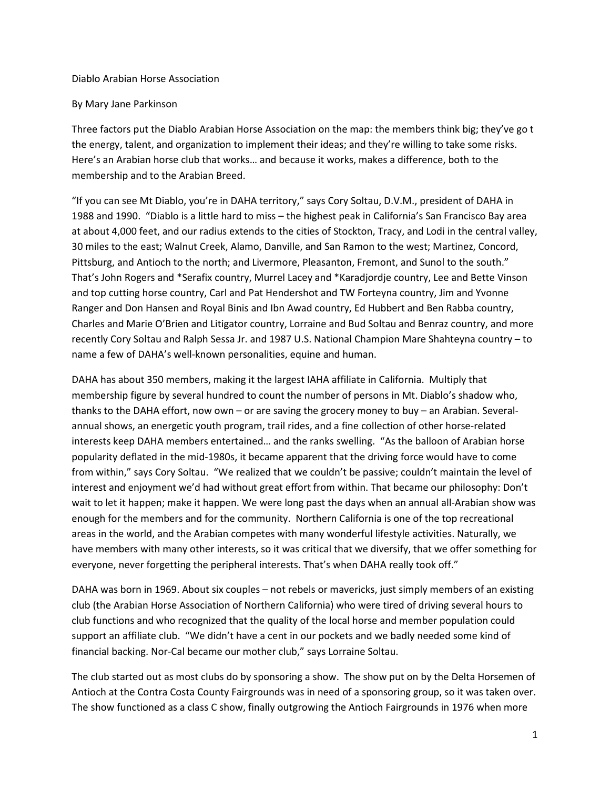#### Diablo Arabian Horse Association

### By Mary Jane Parkinson

Three factors put the Diablo Arabian Horse Association on the map: the members think big; they've go t the energy, talent, and organization to implement their ideas; and they're willing to take some risks. Here's an Arabian horse club that works… and because it works, makes a difference, both to the membership and to the Arabian Breed.

"If you can see Mt Diablo, you're in DAHA territory," says Cory Soltau, D.V.M., president of DAHA in 1988 and 1990. "Diablo is a little hard to miss – the highest peak in California's San Francisco Bay area at about 4,000 feet, and our radius extends to the cities of Stockton, Tracy, and Lodi in the central valley, 30 miles to the east; Walnut Creek, Alamo, Danville, and San Ramon to the west; Martinez, Concord, Pittsburg, and Antioch to the north; and Livermore, Pleasanton, Fremont, and Sunol to the south." That's John Rogers and \*Serafix country, Murrel Lacey and \*Karadjordje country, Lee and Bette Vinson and top cutting horse country, Carl and Pat Hendershot and TW Forteyna country, Jim and Yvonne Ranger and Don Hansen and Royal Binis and Ibn Awad country, Ed Hubbert and Ben Rabba country, Charles and Marie O'Brien and Litigator country, Lorraine and Bud Soltau and Benraz country, and more recently Cory Soltau and Ralph Sessa Jr. and 1987 U.S. National Champion Mare Shahteyna country – to name a few of DAHA's well-known personalities, equine and human.

DAHA has about 350 members, making it the largest IAHA affiliate in California. Multiply that membership figure by several hundred to count the number of persons in Mt. Diablo's shadow who, thanks to the DAHA effort, now own – or are saving the grocery money to buy – an Arabian. Severalannual shows, an energetic youth program, trail rides, and a fine collection of other horse-related interests keep DAHA members entertained… and the ranks swelling. "As the balloon of Arabian horse popularity deflated in the mid-1980s, it became apparent that the driving force would have to come from within," says Cory Soltau. "We realized that we couldn't be passive; couldn't maintain the level of interest and enjoyment we'd had without great effort from within. That became our philosophy: Don't wait to let it happen; make it happen. We were long past the days when an annual all-Arabian show was enough for the members and for the community. Northern California is one of the top recreational areas in the world, and the Arabian competes with many wonderful lifestyle activities. Naturally, we have members with many other interests, so it was critical that we diversify, that we offer something for everyone, never forgetting the peripheral interests. That's when DAHA really took off."

DAHA was born in 1969. About six couples – not rebels or mavericks, just simply members of an existing club (the Arabian Horse Association of Northern California) who were tired of driving several hours to club functions and who recognized that the quality of the local horse and member population could support an affiliate club. "We didn't have a cent in our pockets and we badly needed some kind of financial backing. Nor-Cal became our mother club," says Lorraine Soltau.

The club started out as most clubs do by sponsoring a show. The show put on by the Delta Horsemen of Antioch at the Contra Costa County Fairgrounds was in need of a sponsoring group, so it was taken over. The show functioned as a class C show, finally outgrowing the Antioch Fairgrounds in 1976 when more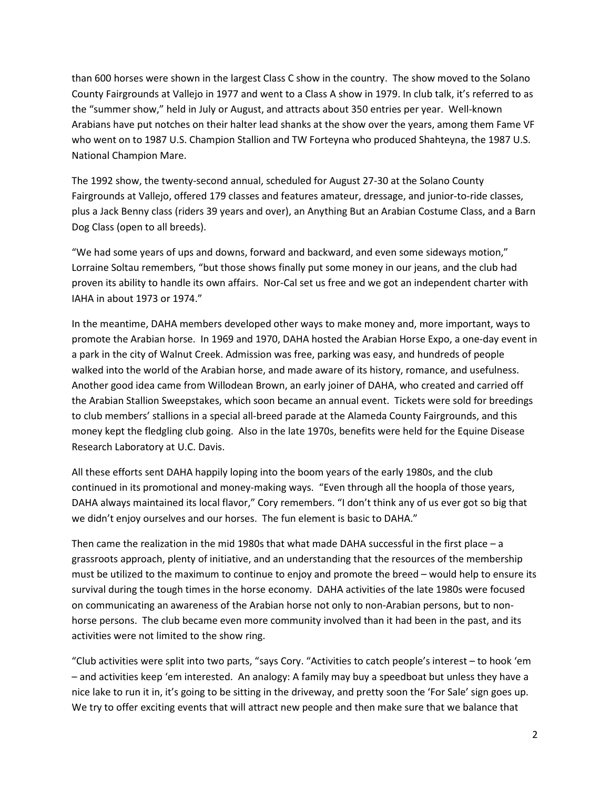than 600 horses were shown in the largest Class C show in the country. The show moved to the Solano County Fairgrounds at Vallejo in 1977 and went to a Class A show in 1979. In club talk, it's referred to as the "summer show," held in July or August, and attracts about 350 entries per year. Well-known Arabians have put notches on their halter lead shanks at the show over the years, among them Fame VF who went on to 1987 U.S. Champion Stallion and TW Forteyna who produced Shahteyna, the 1987 U.S. National Champion Mare.

The 1992 show, the twenty-second annual, scheduled for August 27-30 at the Solano County Fairgrounds at Vallejo, offered 179 classes and features amateur, dressage, and junior-to-ride classes, plus a Jack Benny class (riders 39 years and over), an Anything But an Arabian Costume Class, and a Barn Dog Class (open to all breeds).

"We had some years of ups and downs, forward and backward, and even some sideways motion," Lorraine Soltau remembers, "but those shows finally put some money in our jeans, and the club had proven its ability to handle its own affairs. Nor-Cal set us free and we got an independent charter with IAHA in about 1973 or 1974."

In the meantime, DAHA members developed other ways to make money and, more important, ways to promote the Arabian horse. In 1969 and 1970, DAHA hosted the Arabian Horse Expo, a one-day event in a park in the city of Walnut Creek. Admission was free, parking was easy, and hundreds of people walked into the world of the Arabian horse, and made aware of its history, romance, and usefulness. Another good idea came from Willodean Brown, an early joiner of DAHA, who created and carried off the Arabian Stallion Sweepstakes, which soon became an annual event. Tickets were sold for breedings to club members' stallions in a special all-breed parade at the Alameda County Fairgrounds, and this money kept the fledgling club going. Also in the late 1970s, benefits were held for the Equine Disease Research Laboratory at U.C. Davis.

All these efforts sent DAHA happily loping into the boom years of the early 1980s, and the club continued in its promotional and money-making ways. "Even through all the hoopla of those years, DAHA always maintained its local flavor," Cory remembers. "I don't think any of us ever got so big that we didn't enjoy ourselves and our horses. The fun element is basic to DAHA."

Then came the realization in the mid 1980s that what made DAHA successful in the first place – a grassroots approach, plenty of initiative, and an understanding that the resources of the membership must be utilized to the maximum to continue to enjoy and promote the breed – would help to ensure its survival during the tough times in the horse economy. DAHA activities of the late 1980s were focused on communicating an awareness of the Arabian horse not only to non-Arabian persons, but to nonhorse persons. The club became even more community involved than it had been in the past, and its activities were not limited to the show ring.

"Club activities were split into two parts, "says Cory. "Activities to catch people's interest – to hook 'em – and activities keep 'em interested. An analogy: A family may buy a speedboat but unless they have a nice lake to run it in, it's going to be sitting in the driveway, and pretty soon the 'For Sale' sign goes up. We try to offer exciting events that will attract new people and then make sure that we balance that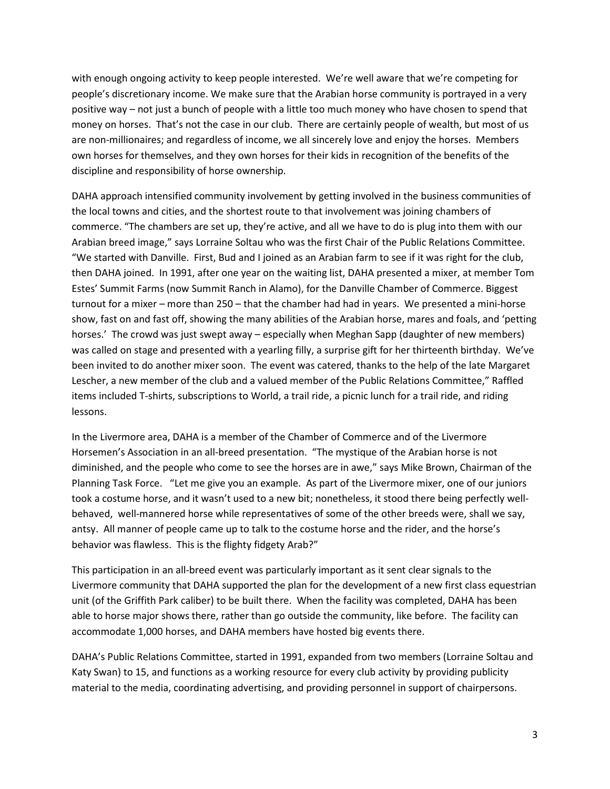with enough ongoing activity to keep people interested. We're well aware that we're competing for people's discretionary income. We make sure that the Arabian horse community is portrayed in a very positive way – not just a bunch of people with a little too much money who have chosen to spend that money on horses. That's not the case in our club. There are certainly people of wealth, but most of us are non-millionaires; and regardless of income, we all sincerely love and enjoy the horses. Members own horses for themselves, and they own horses for their kids in recognition of the benefits of the discipline and responsibility of horse ownership.

DAHA approach intensified community involvement by getting involved in the business communities of the local towns and cities, and the shortest route to that involvement was joining chambers of commerce. "The chambers are set up, they're active, and all we have to do is plug into them with our Arabian breed image," says Lorraine Soltau who was the first Chair of the Public Relations Committee. "We started with Danville. First, Bud and I joined as an Arabian farm to see if it was right for the club, then DAHA joined. In 1991, after one year on the waiting list, DAHA presented a mixer, at member Tom Estes' Summit Farms (now Summit Ranch in Alamo), for the Danville Chamber of Commerce. Biggest turnout for a mixer – more than 250 – that the chamber had had in years. We presented a mini-horse show, fast on and fast off, showing the many abilities of the Arabian horse, mares and foals, and 'petting horses.' The crowd was just swept away – especially when Meghan Sapp (daughter of new members) was called on stage and presented with a yearling filly, a surprise gift for her thirteenth birthday. We've been invited to do another mixer soon. The event was catered, thanks to the help of the late Margaret Lescher, a new member of the club and a valued member of the Public Relations Committee," Raffled items included T-shirts, subscriptions to World, a trail ride, a picnic lunch for a trail ride, and riding lessons.

In the Livermore area, DAHA is a member of the Chamber of Commerce and of the Livermore Horsemen's Association in an all-breed presentation. "The mystique of the Arabian horse is not diminished, and the people who come to see the horses are in awe," says Mike Brown, Chairman of the Planning Task Force. "Let me give you an example. As part of the Livermore mixer, one of our juniors took a costume horse, and it wasn't used to a new bit; nonetheless, it stood there being perfectly wellbehaved, well-mannered horse while representatives of some of the other breeds were, shall we say, antsy. All manner of people came up to talk to the costume horse and the rider, and the horse's behavior was flawless. This is the flighty fidgety Arab?"

This participation in an all-breed event was particularly important as it sent clear signals to the Livermore community that DAHA supported the plan for the development of a new first class equestrian unit (of the Griffith Park caliber) to be built there. When the facility was completed, DAHA has been able to horse major shows there, rather than go outside the community, like before. The facility can accommodate 1,000 horses, and DAHA members have hosted big events there.

DAHA's Public Relations Committee, started in 1991, expanded from two members (Lorraine Soltau and Katy Swan) to 15, and functions as a working resource for every club activity by providing publicity material to the media, coordinating advertising, and providing personnel in support of chairpersons.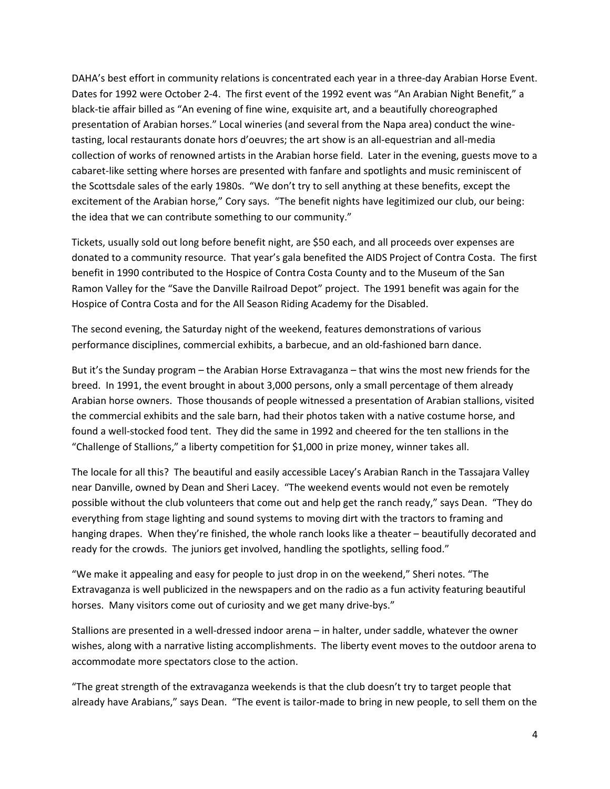DAHA's best effort in community relations is concentrated each year in a three-day Arabian Horse Event. Dates for 1992 were October 2-4. The first event of the 1992 event was "An Arabian Night Benefit," a black-tie affair billed as "An evening of fine wine, exquisite art, and a beautifully choreographed presentation of Arabian horses." Local wineries (and several from the Napa area) conduct the winetasting, local restaurants donate hors d'oeuvres; the art show is an all-equestrian and all-media collection of works of renowned artists in the Arabian horse field. Later in the evening, guests move to a cabaret-like setting where horses are presented with fanfare and spotlights and music reminiscent of the Scottsdale sales of the early 1980s. "We don't try to sell anything at these benefits, except the excitement of the Arabian horse," Cory says. "The benefit nights have legitimized our club, our being: the idea that we can contribute something to our community."

Tickets, usually sold out long before benefit night, are \$50 each, and all proceeds over expenses are donated to a community resource. That year's gala benefited the AIDS Project of Contra Costa. The first benefit in 1990 contributed to the Hospice of Contra Costa County and to the Museum of the San Ramon Valley for the "Save the Danville Railroad Depot" project. The 1991 benefit was again for the Hospice of Contra Costa and for the All Season Riding Academy for the Disabled.

The second evening, the Saturday night of the weekend, features demonstrations of various performance disciplines, commercial exhibits, a barbecue, and an old-fashioned barn dance.

But it's the Sunday program – the Arabian Horse Extravaganza – that wins the most new friends for the breed. In 1991, the event brought in about 3,000 persons, only a small percentage of them already Arabian horse owners. Those thousands of people witnessed a presentation of Arabian stallions, visited the commercial exhibits and the sale barn, had their photos taken with a native costume horse, and found a well-stocked food tent. They did the same in 1992 and cheered for the ten stallions in the "Challenge of Stallions," a liberty competition for \$1,000 in prize money, winner takes all.

The locale for all this? The beautiful and easily accessible Lacey's Arabian Ranch in the Tassajara Valley near Danville, owned by Dean and Sheri Lacey. "The weekend events would not even be remotely possible without the club volunteers that come out and help get the ranch ready," says Dean. "They do everything from stage lighting and sound systems to moving dirt with the tractors to framing and hanging drapes. When they're finished, the whole ranch looks like a theater – beautifully decorated and ready for the crowds. The juniors get involved, handling the spotlights, selling food."

"We make it appealing and easy for people to just drop in on the weekend," Sheri notes. "The Extravaganza is well publicized in the newspapers and on the radio as a fun activity featuring beautiful horses. Many visitors come out of curiosity and we get many drive-bys."

Stallions are presented in a well-dressed indoor arena – in halter, under saddle, whatever the owner wishes, along with a narrative listing accomplishments. The liberty event moves to the outdoor arena to accommodate more spectators close to the action.

"The great strength of the extravaganza weekends is that the club doesn't try to target people that already have Arabians," says Dean. "The event is tailor-made to bring in new people, to sell them on the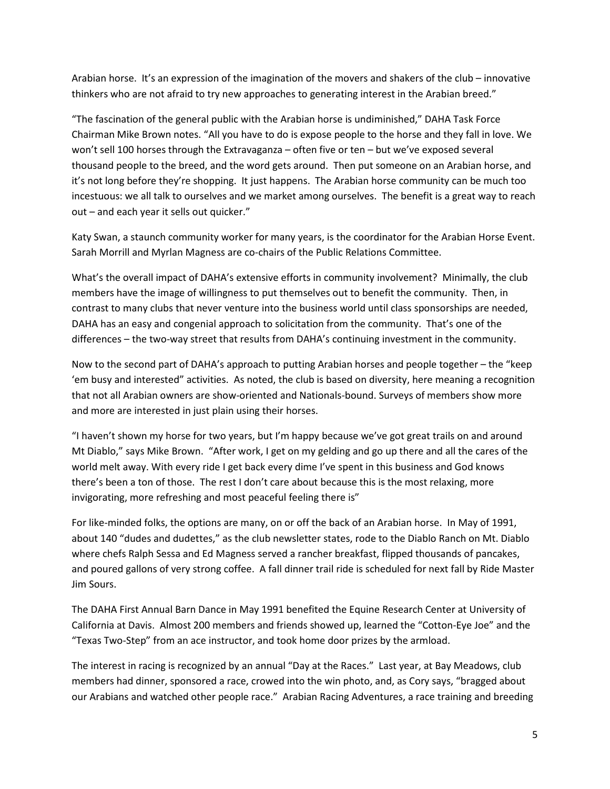Arabian horse. It's an expression of the imagination of the movers and shakers of the club – innovative thinkers who are not afraid to try new approaches to generating interest in the Arabian breed."

"The fascination of the general public with the Arabian horse is undiminished," DAHA Task Force Chairman Mike Brown notes. "All you have to do is expose people to the horse and they fall in love. We won't sell 100 horses through the Extravaganza – often five or ten – but we've exposed several thousand people to the breed, and the word gets around. Then put someone on an Arabian horse, and it's not long before they're shopping. It just happens. The Arabian horse community can be much too incestuous: we all talk to ourselves and we market among ourselves. The benefit is a great way to reach out – and each year it sells out quicker."

Katy Swan, a staunch community worker for many years, is the coordinator for the Arabian Horse Event. Sarah Morrill and Myrlan Magness are co-chairs of the Public Relations Committee.

What's the overall impact of DAHA's extensive efforts in community involvement? Minimally, the club members have the image of willingness to put themselves out to benefit the community. Then, in contrast to many clubs that never venture into the business world until class sponsorships are needed, DAHA has an easy and congenial approach to solicitation from the community. That's one of the differences – the two-way street that results from DAHA's continuing investment in the community.

Now to the second part of DAHA's approach to putting Arabian horses and people together – the "keep 'em busy and interested" activities. As noted, the club is based on diversity, here meaning a recognition that not all Arabian owners are show-oriented and Nationals-bound. Surveys of members show more and more are interested in just plain using their horses.

"I haven't shown my horse for two years, but I'm happy because we've got great trails on and around Mt Diablo," says Mike Brown. "After work, I get on my gelding and go up there and all the cares of the world melt away. With every ride I get back every dime I've spent in this business and God knows there's been a ton of those. The rest I don't care about because this is the most relaxing, more invigorating, more refreshing and most peaceful feeling there is"

For like-minded folks, the options are many, on or off the back of an Arabian horse. In May of 1991, about 140 "dudes and dudettes," as the club newsletter states, rode to the Diablo Ranch on Mt. Diablo where chefs Ralph Sessa and Ed Magness served a rancher breakfast, flipped thousands of pancakes, and poured gallons of very strong coffee. A fall dinner trail ride is scheduled for next fall by Ride Master Jim Sours.

The DAHA First Annual Barn Dance in May 1991 benefited the Equine Research Center at University of California at Davis. Almost 200 members and friends showed up, learned the "Cotton-Eye Joe" and the "Texas Two-Step" from an ace instructor, and took home door prizes by the armload.

The interest in racing is recognized by an annual "Day at the Races." Last year, at Bay Meadows, club members had dinner, sponsored a race, crowed into the win photo, and, as Cory says, "bragged about our Arabians and watched other people race." Arabian Racing Adventures, a race training and breeding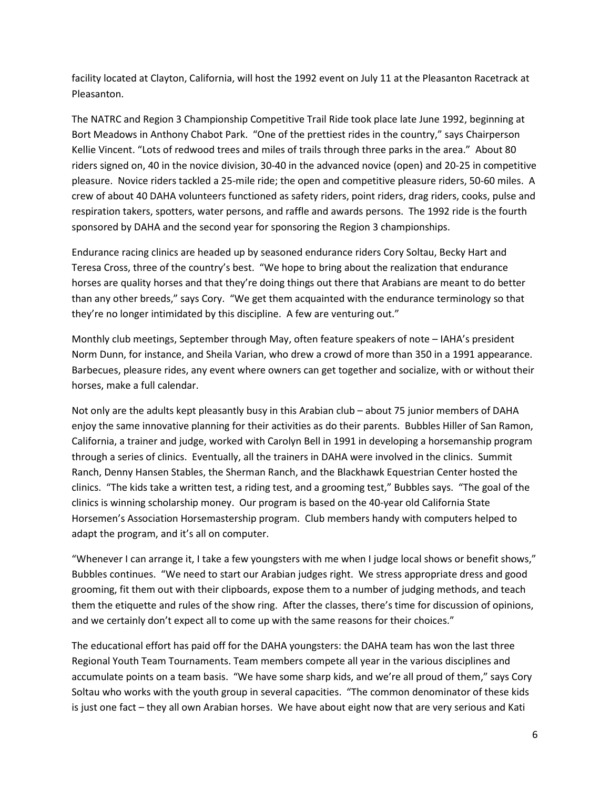facility located at Clayton, California, will host the 1992 event on July 11 at the Pleasanton Racetrack at Pleasanton.

The NATRC and Region 3 Championship Competitive Trail Ride took place late June 1992, beginning at Bort Meadows in Anthony Chabot Park. "One of the prettiest rides in the country," says Chairperson Kellie Vincent. "Lots of redwood trees and miles of trails through three parks in the area." About 80 riders signed on, 40 in the novice division, 30-40 in the advanced novice (open) and 20-25 in competitive pleasure. Novice riders tackled a 25-mile ride; the open and competitive pleasure riders, 50-60 miles. A crew of about 40 DAHA volunteers functioned as safety riders, point riders, drag riders, cooks, pulse and respiration takers, spotters, water persons, and raffle and awards persons. The 1992 ride is the fourth sponsored by DAHA and the second year for sponsoring the Region 3 championships.

Endurance racing clinics are headed up by seasoned endurance riders Cory Soltau, Becky Hart and Teresa Cross, three of the country's best. "We hope to bring about the realization that endurance horses are quality horses and that they're doing things out there that Arabians are meant to do better than any other breeds," says Cory. "We get them acquainted with the endurance terminology so that they're no longer intimidated by this discipline. A few are venturing out."

Monthly club meetings, September through May, often feature speakers of note – IAHA's president Norm Dunn, for instance, and Sheila Varian, who drew a crowd of more than 350 in a 1991 appearance. Barbecues, pleasure rides, any event where owners can get together and socialize, with or without their horses, make a full calendar.

Not only are the adults kept pleasantly busy in this Arabian club – about 75 junior members of DAHA enjoy the same innovative planning for their activities as do their parents. Bubbles Hiller of San Ramon, California, a trainer and judge, worked with Carolyn Bell in 1991 in developing a horsemanship program through a series of clinics. Eventually, all the trainers in DAHA were involved in the clinics. Summit Ranch, Denny Hansen Stables, the Sherman Ranch, and the Blackhawk Equestrian Center hosted the clinics. "The kids take a written test, a riding test, and a grooming test," Bubbles says. "The goal of the clinics is winning scholarship money. Our program is based on the 40-year old California State Horsemen's Association Horsemastership program. Club members handy with computers helped to adapt the program, and it's all on computer.

"Whenever I can arrange it, I take a few youngsters with me when I judge local shows or benefit shows," Bubbles continues. "We need to start our Arabian judges right. We stress appropriate dress and good grooming, fit them out with their clipboards, expose them to a number of judging methods, and teach them the etiquette and rules of the show ring. After the classes, there's time for discussion of opinions, and we certainly don't expect all to come up with the same reasons for their choices."

The educational effort has paid off for the DAHA youngsters: the DAHA team has won the last three Regional Youth Team Tournaments. Team members compete all year in the various disciplines and accumulate points on a team basis. "We have some sharp kids, and we're all proud of them," says Cory Soltau who works with the youth group in several capacities. "The common denominator of these kids is just one fact – they all own Arabian horses. We have about eight now that are very serious and Kati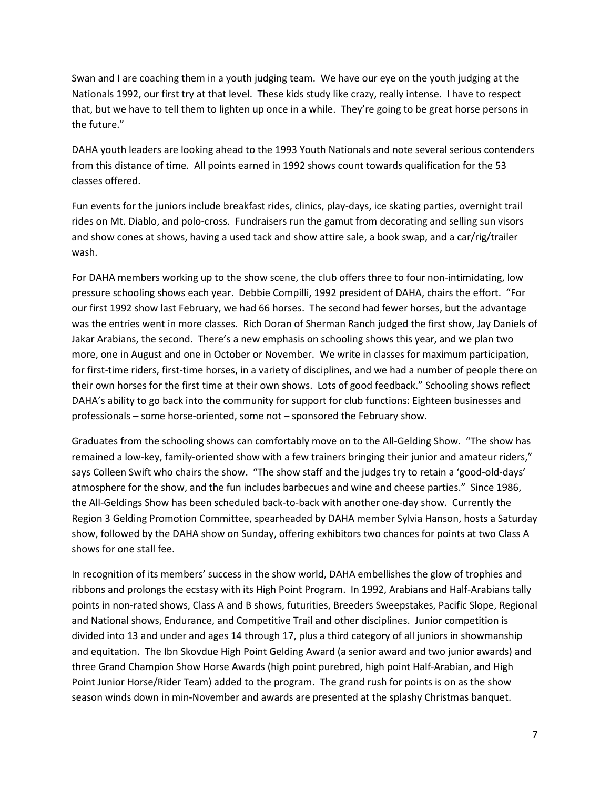Swan and I are coaching them in a youth judging team. We have our eye on the youth judging at the Nationals 1992, our first try at that level. These kids study like crazy, really intense. I have to respect that, but we have to tell them to lighten up once in a while. They're going to be great horse persons in the future."

DAHA youth leaders are looking ahead to the 1993 Youth Nationals and note several serious contenders from this distance of time. All points earned in 1992 shows count towards qualification for the 53 classes offered.

Fun events for the juniors include breakfast rides, clinics, play-days, ice skating parties, overnight trail rides on Mt. Diablo, and polo-cross. Fundraisers run the gamut from decorating and selling sun visors and show cones at shows, having a used tack and show attire sale, a book swap, and a car/rig/trailer wash.

For DAHA members working up to the show scene, the club offers three to four non-intimidating, low pressure schooling shows each year. Debbie Compilli, 1992 president of DAHA, chairs the effort. "For our first 1992 show last February, we had 66 horses. The second had fewer horses, but the advantage was the entries went in more classes. Rich Doran of Sherman Ranch judged the first show, Jay Daniels of Jakar Arabians, the second. There's a new emphasis on schooling shows this year, and we plan two more, one in August and one in October or November. We write in classes for maximum participation, for first-time riders, first-time horses, in a variety of disciplines, and we had a number of people there on their own horses for the first time at their own shows. Lots of good feedback." Schooling shows reflect DAHA's ability to go back into the community for support for club functions: Eighteen businesses and professionals – some horse-oriented, some not – sponsored the February show.

Graduates from the schooling shows can comfortably move on to the All-Gelding Show. "The show has remained a low-key, family-oriented show with a few trainers bringing their junior and amateur riders," says Colleen Swift who chairs the show. "The show staff and the judges try to retain a 'good-old-days' atmosphere for the show, and the fun includes barbecues and wine and cheese parties." Since 1986, the All-Geldings Show has been scheduled back-to-back with another one-day show. Currently the Region 3 Gelding Promotion Committee, spearheaded by DAHA member Sylvia Hanson, hosts a Saturday show, followed by the DAHA show on Sunday, offering exhibitors two chances for points at two Class A shows for one stall fee.

In recognition of its members' success in the show world, DAHA embellishes the glow of trophies and ribbons and prolongs the ecstasy with its High Point Program. In 1992, Arabians and Half-Arabians tally points in non-rated shows, Class A and B shows, futurities, Breeders Sweepstakes, Pacific Slope, Regional and National shows, Endurance, and Competitive Trail and other disciplines. Junior competition is divided into 13 and under and ages 14 through 17, plus a third category of all juniors in showmanship and equitation. The Ibn Skovdue High Point Gelding Award (a senior award and two junior awards) and three Grand Champion Show Horse Awards (high point purebred, high point Half-Arabian, and High Point Junior Horse/Rider Team) added to the program. The grand rush for points is on as the show season winds down in min-November and awards are presented at the splashy Christmas banquet.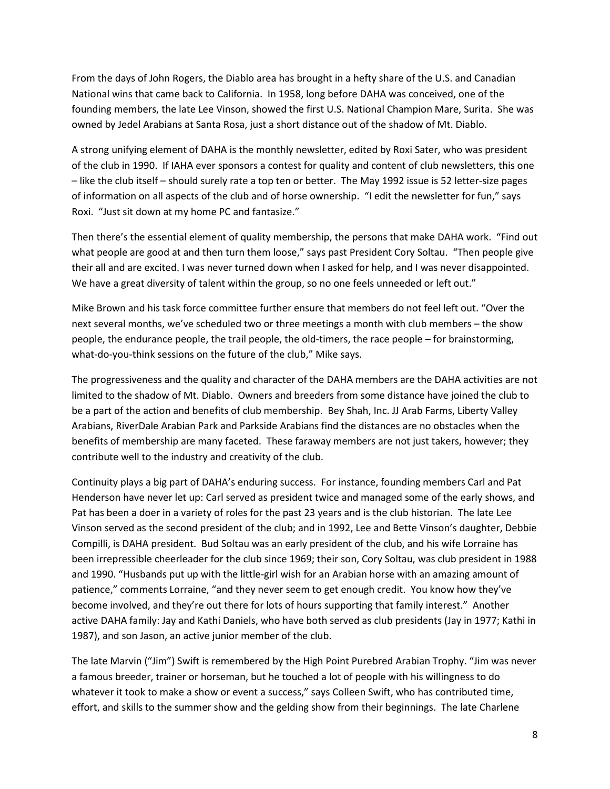From the days of John Rogers, the Diablo area has brought in a hefty share of the U.S. and Canadian National wins that came back to California. In 1958, long before DAHA was conceived, one of the founding members, the late Lee Vinson, showed the first U.S. National Champion Mare, Surita. She was owned by Jedel Arabians at Santa Rosa, just a short distance out of the shadow of Mt. Diablo.

A strong unifying element of DAHA is the monthly newsletter, edited by Roxi Sater, who was president of the club in 1990. If IAHA ever sponsors a contest for quality and content of club newsletters, this one – like the club itself – should surely rate a top ten or better. The May 1992 issue is 52 letter-size pages of information on all aspects of the club and of horse ownership. "I edit the newsletter for fun," says Roxi. "Just sit down at my home PC and fantasize."

Then there's the essential element of quality membership, the persons that make DAHA work. "Find out what people are good at and then turn them loose," says past President Cory Soltau. "Then people give their all and are excited. I was never turned down when I asked for help, and I was never disappointed. We have a great diversity of talent within the group, so no one feels unneeded or left out."

Mike Brown and his task force committee further ensure that members do not feel left out. "Over the next several months, we've scheduled two or three meetings a month with club members – the show people, the endurance people, the trail people, the old-timers, the race people – for brainstorming, what-do-you-think sessions on the future of the club," Mike says.

The progressiveness and the quality and character of the DAHA members are the DAHA activities are not limited to the shadow of Mt. Diablo. Owners and breeders from some distance have joined the club to be a part of the action and benefits of club membership. Bey Shah, Inc. JJ Arab Farms, Liberty Valley Arabians, RiverDale Arabian Park and Parkside Arabians find the distances are no obstacles when the benefits of membership are many faceted. These faraway members are not just takers, however; they contribute well to the industry and creativity of the club.

Continuity plays a big part of DAHA's enduring success. For instance, founding members Carl and Pat Henderson have never let up: Carl served as president twice and managed some of the early shows, and Pat has been a doer in a variety of roles for the past 23 years and is the club historian. The late Lee Vinson served as the second president of the club; and in 1992, Lee and Bette Vinson's daughter, Debbie Compilli, is DAHA president. Bud Soltau was an early president of the club, and his wife Lorraine has been irrepressible cheerleader for the club since 1969; their son, Cory Soltau, was club president in 1988 and 1990. "Husbands put up with the little-girl wish for an Arabian horse with an amazing amount of patience," comments Lorraine, "and they never seem to get enough credit. You know how they've become involved, and they're out there for lots of hours supporting that family interest." Another active DAHA family: Jay and Kathi Daniels, who have both served as club presidents (Jay in 1977; Kathi in 1987), and son Jason, an active junior member of the club.

The late Marvin ("Jim") Swift is remembered by the High Point Purebred Arabian Trophy. "Jim was never a famous breeder, trainer or horseman, but he touched a lot of people with his willingness to do whatever it took to make a show or event a success," says Colleen Swift, who has contributed time, effort, and skills to the summer show and the gelding show from their beginnings. The late Charlene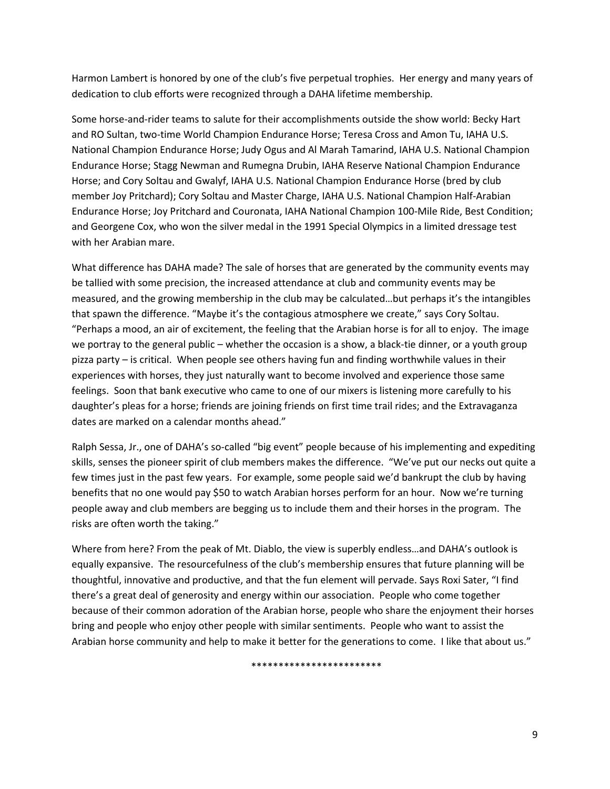Harmon Lambert is honored by one of the club's five perpetual trophies. Her energy and many years of dedication to club efforts were recognized through a DAHA lifetime membership.

Some horse-and-rider teams to salute for their accomplishments outside the show world: Becky Hart and RO Sultan, two-time World Champion Endurance Horse; Teresa Cross and Amon Tu, IAHA U.S. National Champion Endurance Horse; Judy Ogus and Al Marah Tamarind, IAHA U.S. National Champion Endurance Horse; Stagg Newman and Rumegna Drubin, IAHA Reserve National Champion Endurance Horse; and Cory Soltau and Gwalyf, IAHA U.S. National Champion Endurance Horse (bred by club member Joy Pritchard); Cory Soltau and Master Charge, IAHA U.S. National Champion Half-Arabian Endurance Horse; Joy Pritchard and Couronata, IAHA National Champion 100-Mile Ride, Best Condition; and Georgene Cox, who won the silver medal in the 1991 Special Olympics in a limited dressage test with her Arabian mare.

What difference has DAHA made? The sale of horses that are generated by the community events may be tallied with some precision, the increased attendance at club and community events may be measured, and the growing membership in the club may be calculated…but perhaps it's the intangibles that spawn the difference. "Maybe it's the contagious atmosphere we create," says Cory Soltau. "Perhaps a mood, an air of excitement, the feeling that the Arabian horse is for all to enjoy. The image we portray to the general public – whether the occasion is a show, a black-tie dinner, or a youth group pizza party – is critical. When people see others having fun and finding worthwhile values in their experiences with horses, they just naturally want to become involved and experience those same feelings. Soon that bank executive who came to one of our mixers is listening more carefully to his daughter's pleas for a horse; friends are joining friends on first time trail rides; and the Extravaganza dates are marked on a calendar months ahead."

Ralph Sessa, Jr., one of DAHA's so-called "big event" people because of his implementing and expediting skills, senses the pioneer spirit of club members makes the difference. "We've put our necks out quite a few times just in the past few years. For example, some people said we'd bankrupt the club by having benefits that no one would pay \$50 to watch Arabian horses perform for an hour. Now we're turning people away and club members are begging us to include them and their horses in the program. The risks are often worth the taking."

Where from here? From the peak of Mt. Diablo, the view is superbly endless…and DAHA's outlook is equally expansive. The resourcefulness of the club's membership ensures that future planning will be thoughtful, innovative and productive, and that the fun element will pervade. Says Roxi Sater, "I find there's a great deal of generosity and energy within our association. People who come together because of their common adoration of the Arabian horse, people who share the enjoyment their horses bring and people who enjoy other people with similar sentiments. People who want to assist the Arabian horse community and help to make it better for the generations to come. I like that about us."

\*\*\*\*\*\*\*\*\*\*\*\*\*\*\*\*\*\*\*\*\*\*\*\*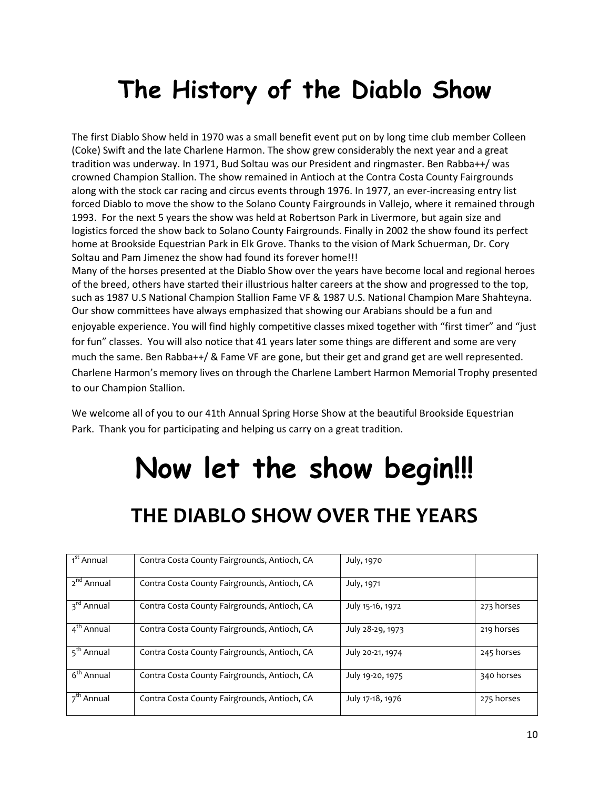## The History of the Diablo Show

The first Diablo Show held in 1970 was a small benefit event put on by long time club member Colleen (Coke) Swift and the late Charlene Harmon. The show grew considerably the next year and a great tradition was underway. In 1971, Bud Soltau was our President and ringmaster. Ben Rabba++/ was crowned Champion Stallion. The show remained in Antioch at the Contra Costa County Fairgrounds along with the stock car racing and circus events through 1976. In 1977, an ever-increasing entry list forced Diablo to move the show to the Solano County Fairgrounds in Vallejo, where it remained through 1993. For the next 5 years the show was held at Robertson Park in Livermore, but again size and logistics forced the show back to Solano County Fairgrounds. Finally in 2002 the show found its perfect home at Brookside Equestrian Park in Elk Grove. Thanks to the vision of Mark Schuerman, Dr. Cory Soltau and Pam Jimenez the show had found its forever home!!!

Many of the horses presented at the Diablo Show over the years have become local and regional heroes of the breed, others have started their illustrious halter careers at the show and progressed to the top, such as 1987 U.S National Champion Stallion Fame VF & 1987 U.S. National Champion Mare Shahteyna. Our show committees have always emphasized that showing our Arabians should be a fun and enjoyable experience. You will find highly competitive classes mixed together with "first timer" and "just for fun" classes. You will also notice that 41 years later some things are different and some are very much the same. Ben Rabba++/ & Fame VF are gone, but their get and grand get are well represented. Charlene Harmon's memory lives on through the Charlene Lambert Harmon Memorial Trophy presented to our Champion Stallion.

We welcome all of you to our 41th Annual Spring Horse Show at the beautiful Brookside Equestrian Park. Thank you for participating and helping us carry on a great tradition.

# Now let the show begin!!!

### THE DIABLO SHOW OVER THE YEARS

| 1 <sup>st</sup> Annual | Contra Costa County Fairgrounds, Antioch, CA | July, 1970       |            |
|------------------------|----------------------------------------------|------------------|------------|
| 2 <sup>nd</sup> Annual | Contra Costa County Fairgrounds, Antioch, CA | July, 1971       |            |
| 3 <sup>rd</sup> Annual | Contra Costa County Fairgrounds, Antioch, CA | July 15-16, 1972 | 273 horses |
| 4 <sup>th</sup> Annual | Contra Costa County Fairgrounds, Antioch, CA | July 28-29, 1973 | 219 horses |
| 5 <sup>th</sup> Annual | Contra Costa County Fairgrounds, Antioch, CA | July 20-21, 1974 | 245 horses |
| 6 <sup>th</sup> Annual | Contra Costa County Fairgrounds, Antioch, CA | July 19-20, 1975 | 340 horses |
| $7th$ Annual           | Contra Costa County Fairgrounds, Antioch, CA | July 17-18, 1976 | 275 horses |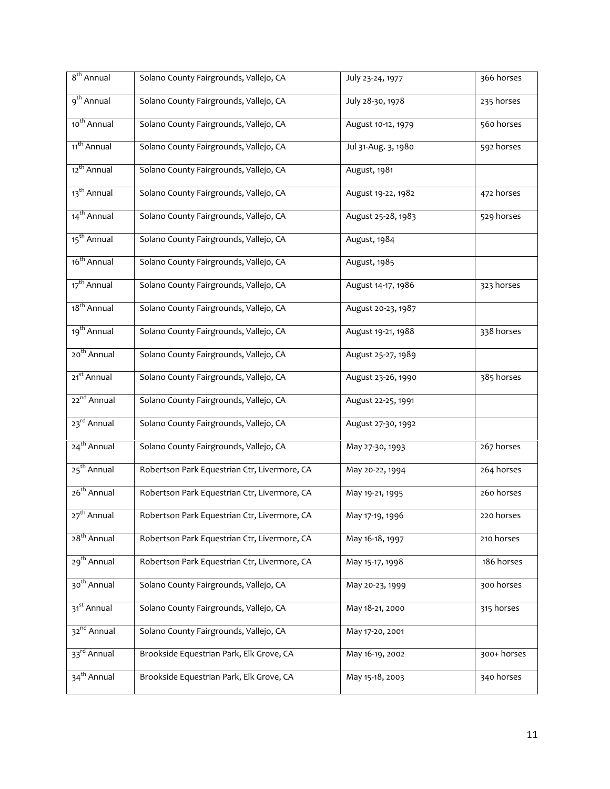| 8 <sup>th</sup> Annual  | Solano County Fairgrounds, Vallejo, CA       | July 23-24, 1977    | 366 horses  |
|-------------------------|----------------------------------------------|---------------------|-------------|
| 9 <sup>th</sup> Annual  | Solano County Fairgrounds, Vallejo, CA       | July 28-30, 1978    | 235 horses  |
| 10 <sup>th</sup> Annual | Solano County Fairgrounds, Vallejo, CA       | August 10-12, 1979  | 560 horses  |
| 11 <sup>th</sup> Annual | Solano County Fairgrounds, Vallejo, CA       | Jul 31-Aug. 3, 1980 | 592 horses  |
| 12 <sup>th</sup> Annual | Solano County Fairgrounds, Vallejo, CA       | August, 1981        |             |
| 13 <sup>th</sup> Annual | Solano County Fairgrounds, Vallejo, CA       | August 19-22, 1982  | 472 horses  |
| 14 <sup>th</sup> Annual | Solano County Fairgrounds, Vallejo, CA       | August 25-28, 1983  | 529 horses  |
| 15 <sup>th</sup> Annual | Solano County Fairgrounds, Vallejo, CA       | August, 1984        |             |
| 16 <sup>th</sup> Annual | Solano County Fairgrounds, Vallejo, CA       | August, 1985        |             |
| 17 <sup>th</sup> Annual | Solano County Fairgrounds, Vallejo, CA       | August 14-17, 1986  | 323 horses  |
| 18 <sup>th</sup> Annual | Solano County Fairgrounds, Vallejo, CA       | August 20-23, 1987  |             |
| 19 <sup>th</sup> Annual | Solano County Fairgrounds, Vallejo, CA       | August 19-21, 1988  | 338 horses  |
| 20 <sup>th</sup> Annual | Solano County Fairgrounds, Vallejo, CA       | August 25-27, 1989  |             |
| 21 <sup>st</sup> Annual | Solano County Fairgrounds, Vallejo, CA       | August 23-26, 1990  | 385 horses  |
| 22 <sup>nd</sup> Annual | Solano County Fairgrounds, Vallejo, CA       | August 22-25, 1991  |             |
| 23 <sup>rd</sup> Annual | Solano County Fairgrounds, Vallejo, CA       | August 27-30, 1992  |             |
| 24 <sup>th</sup> Annual | Solano County Fairgrounds, Vallejo, CA       | May 27-30, 1993     | 267 horses  |
| 25 <sup>th</sup> Annual | Robertson Park Equestrian Ctr, Livermore, CA | May 20-22, 1994     | 264 horses  |
| 26 <sup>th</sup> Annual | Robertson Park Equestrian Ctr, Livermore, CA | May 19-21, 1995     | 260 horses  |
| 27 <sup>th</sup> Annual | Robertson Park Equestrian Ctr, Livermore, CA | May 17-19, 1996     | 220 horses  |
| 28 <sup>th</sup> Annual | Robertson Park Equestrian Ctr, Livermore, CA | May 16-18, 1997     | 210 horses  |
| 29 <sup>th</sup> Annual | Robertson Park Equestrian Ctr, Livermore, CA | May 15-17, 1998     | 186 horses  |
| 30 <sup>th</sup> Annual | Solano County Fairgrounds, Vallejo, CA       | May 20-23, 1999     | 300 horses  |
| 31 <sup>st</sup> Annual | Solano County Fairgrounds, Vallejo, CA       | May 18-21, 2000     | 315 horses  |
| 32 <sup>nd</sup> Annual | Solano County Fairgrounds, Vallejo, CA       | May 17-20, 2001     |             |
| 33rd Annual             | Brookside Equestrian Park, Elk Grove, CA     | May 16-19, 2002     | 300+ horses |
| $34th$ Annual           | Brookside Equestrian Park, Elk Grove, CA     | May 15-18, 2003     | 340 horses  |